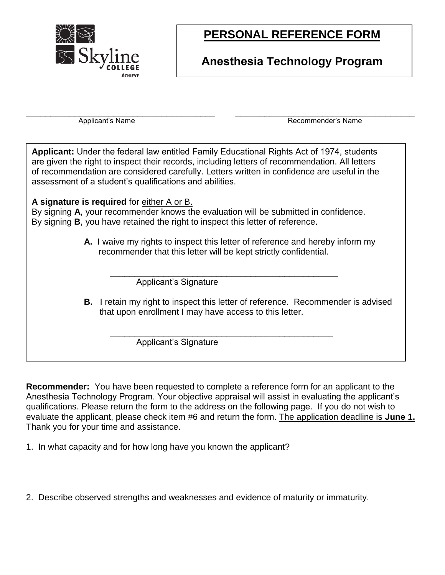

# **PERSONAL REFERENCE FORM**

### **Anesthesia Technology Program**

\_\_\_\_\_\_\_\_\_\_\_\_\_\_\_\_\_\_\_\_\_\_\_\_\_\_\_\_\_\_\_\_\_\_\_\_\_\_\_ \_\_\_\_\_\_\_\_\_\_\_\_\_\_\_\_\_\_\_\_\_\_\_\_\_\_\_\_\_\_\_\_\_\_\_\_\_

Applicant's Name **Recommender's Name** Recommender's Name

**Applicant:** Under the federal law entitled Family Educational Rights Act of 1974, students are given the right to inspect their records, including letters of recommendation. All letters of recommendation are considered carefully. Letters written in confidence are useful in the assessment of a student's qualifications and abilities.

#### **A signature is required** for either A or B.

By signing **A**, your recommender knows the evaluation will be submitted in confidence. By signing **B**, you have retained the right to inspect this letter of reference.

> **A.** I waive my rights to inspect this letter of reference and hereby inform my recommender that this letter will be kept strictly confidential.

\_\_\_\_\_\_\_\_\_\_\_\_\_\_\_\_\_\_\_\_\_\_\_\_\_\_\_\_\_\_\_\_\_\_\_\_\_\_\_\_\_\_\_\_\_\_\_ Applicant's Signature

**B.** I retain my right to inspect this letter of reference. Recommender is advised that upon enrollment I may have access to this letter.

Applicant's Signature

**Recommender:** You have been requested to complete a reference form for an applicant to the Anesthesia Technology Program. Your objective appraisal will assist in evaluating the applicant's qualifications. Please return the form to the address on the following page. If you do not wish to evaluate the applicant, please check item #6 and return the form. The application deadline is **June 1.** Thank you for your time and assistance.

\_\_\_\_\_\_\_\_\_\_\_\_\_\_\_\_\_\_\_\_\_\_\_\_\_\_\_\_\_\_\_\_\_\_\_\_\_\_\_\_\_\_\_\_\_\_

1. In what capacity and for how long have you known the applicant?

2. Describe observed strengths and weaknesses and evidence of maturity or immaturity.